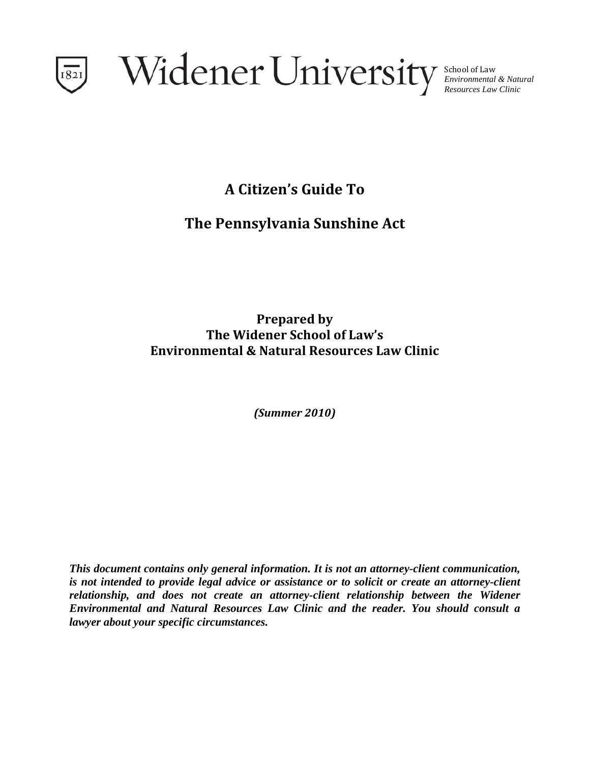

School of Law *Environmental & Natural Resources Law Clinic* 

**A Citizen's Guide To**

# **The Pennsylvania Sunshine Act**

**Prepared by The Widener School of Law's Environmental & Natural Resources Law Clinic**

*(Summer 2010)*

*This document contains only general information. It is not an attorney-client communication, is not intended to provide legal advice or assistance or to solicit or create an attorney-client relationship, and does not create an attorney-client relationship between the Widener Environmental and Natural Resources Law Clinic and the reader. You should consult a lawyer about your specific circumstances.*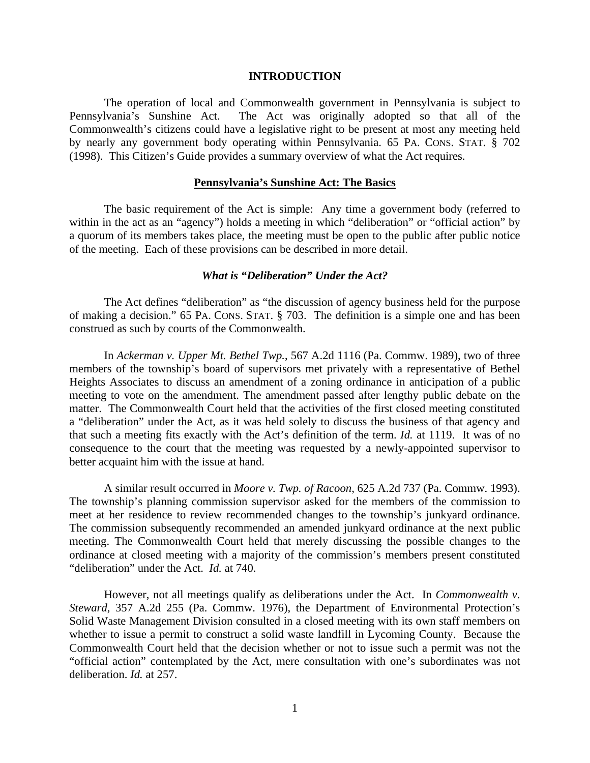#### **INTRODUCTION**

 The operation of local and Commonwealth government in Pennsylvania is subject to Pennsylvania's Sunshine Act. The Act was originally adopted so that all of the Commonwealth's citizens could have a legislative right to be present at most any meeting held by nearly any government body operating within Pennsylvania. 65 PA. CONS. STAT. § 702 (1998). This Citizen's Guide provides a summary overview of what the Act requires.

## **Pennsylvania's Sunshine Act: The Basics**

 The basic requirement of the Act is simple: Any time a government body (referred to within in the act as an "agency") holds a meeting in which "deliberation" or "official action" by a quorum of its members takes place, the meeting must be open to the public after public notice of the meeting. Each of these provisions can be described in more detail.

## *What is "Deliberation" Under the Act?*

 The Act defines "deliberation" as "the discussion of agency business held for the purpose of making a decision." 65 PA. CONS. STAT. § 703. The definition is a simple one and has been construed as such by courts of the Commonwealth.

 In *Ackerman v. Upper Mt. Bethel Twp.*, 567 A.2d 1116 (Pa. Commw. 1989), two of three members of the township's board of supervisors met privately with a representative of Bethel Heights Associates to discuss an amendment of a zoning ordinance in anticipation of a public meeting to vote on the amendment. The amendment passed after lengthy public debate on the matter. The Commonwealth Court held that the activities of the first closed meeting constituted a "deliberation" under the Act, as it was held solely to discuss the business of that agency and that such a meeting fits exactly with the Act's definition of the term. *Id.* at 1119. It was of no consequence to the court that the meeting was requested by a newly-appointed supervisor to better acquaint him with the issue at hand.

 A similar result occurred in *Moore v. Twp. of Racoon*, 625 A.2d 737 (Pa. Commw. 1993). The township's planning commission supervisor asked for the members of the commission to meet at her residence to review recommended changes to the township's junkyard ordinance. The commission subsequently recommended an amended junkyard ordinance at the next public meeting. The Commonwealth Court held that merely discussing the possible changes to the ordinance at closed meeting with a majority of the commission's members present constituted "deliberation" under the Act. *Id.* at 740.

 However, not all meetings qualify as deliberations under the Act. In *Commonwealth v. Steward*, 357 A.2d 255 (Pa. Commw. 1976), the Department of Environmental Protection's Solid Waste Management Division consulted in a closed meeting with its own staff members on whether to issue a permit to construct a solid waste landfill in Lycoming County. Because the Commonwealth Court held that the decision whether or not to issue such a permit was not the "official action" contemplated by the Act, mere consultation with one's subordinates was not deliberation. *Id.* at 257.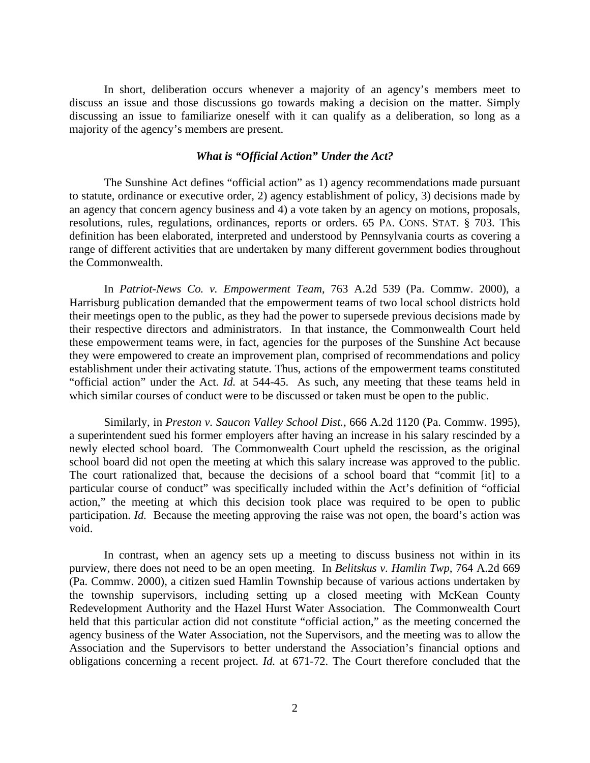In short, deliberation occurs whenever a majority of an agency's members meet to discuss an issue and those discussions go towards making a decision on the matter. Simply discussing an issue to familiarize oneself with it can qualify as a deliberation, so long as a majority of the agency's members are present.

## *What is "Official Action" Under the Act?*

 The Sunshine Act defines "official action" as 1) agency recommendations made pursuant to statute, ordinance or executive order, 2) agency establishment of policy, 3) decisions made by an agency that concern agency business and 4) a vote taken by an agency on motions, proposals, resolutions, rules, regulations, ordinances, reports or orders. 65 PA. CONS. STAT. § 703. This definition has been elaborated, interpreted and understood by Pennsylvania courts as covering a range of different activities that are undertaken by many different government bodies throughout the Commonwealth.

 In *Patriot-News Co. v. Empowerment Team*, 763 A.2d 539 (Pa. Commw. 2000), a Harrisburg publication demanded that the empowerment teams of two local school districts hold their meetings open to the public, as they had the power to supersede previous decisions made by their respective directors and administrators. In that instance, the Commonwealth Court held these empowerment teams were, in fact, agencies for the purposes of the Sunshine Act because they were empowered to create an improvement plan, comprised of recommendations and policy establishment under their activating statute. Thus, actions of the empowerment teams constituted "official action" under the Act. *Id.* at 544-45. As such, any meeting that these teams held in which similar courses of conduct were to be discussed or taken must be open to the public.

 Similarly, in *Preston v. Saucon Valley School Dist.,* 666 A.2d 1120 (Pa. Commw. 1995), a superintendent sued his former employers after having an increase in his salary rescinded by a newly elected school board. The Commonwealth Court upheld the rescission, as the original school board did not open the meeting at which this salary increase was approved to the public. The court rationalized that, because the decisions of a school board that "commit [it] to a particular course of conduct" was specifically included within the Act's definition of "official action," the meeting at which this decision took place was required to be open to public participation. *Id.* Because the meeting approving the raise was not open, the board's action was void.

 In contrast, when an agency sets up a meeting to discuss business not within in its purview, there does not need to be an open meeting. In *Belitskus v. Hamlin Twp,* 764 A.2d 669 (Pa. Commw. 2000), a citizen sued Hamlin Township because of various actions undertaken by the township supervisors, including setting up a closed meeting with McKean County Redevelopment Authority and the Hazel Hurst Water Association. The Commonwealth Court held that this particular action did not constitute "official action," as the meeting concerned the agency business of the Water Association, not the Supervisors, and the meeting was to allow the Association and the Supervisors to better understand the Association's financial options and obligations concerning a recent project. *Id.* at 671-72. The Court therefore concluded that the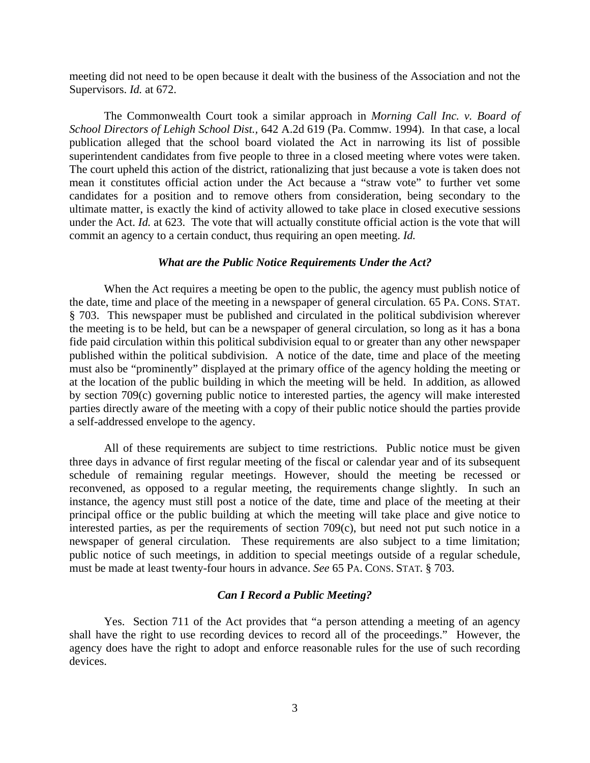meeting did not need to be open because it dealt with the business of the Association and not the Supervisors. *Id.* at 672.

 The Commonwealth Court took a similar approach in *Morning Call Inc. v. Board of School Directors of Lehigh School Dist.,* 642 A.2d 619 (Pa. Commw. 1994). In that case, a local publication alleged that the school board violated the Act in narrowing its list of possible superintendent candidates from five people to three in a closed meeting where votes were taken. The court upheld this action of the district, rationalizing that just because a vote is taken does not mean it constitutes official action under the Act because a "straw vote" to further vet some candidates for a position and to remove others from consideration, being secondary to the ultimate matter, is exactly the kind of activity allowed to take place in closed executive sessions under the Act. *Id.* at 623. The vote that will actually constitute official action is the vote that will commit an agency to a certain conduct, thus requiring an open meeting. *Id.* 

#### *What are the Public Notice Requirements Under the Act?*

 When the Act requires a meeting be open to the public, the agency must publish notice of the date, time and place of the meeting in a newspaper of general circulation. 65 PA. CONS. STAT. § 703. This newspaper must be published and circulated in the political subdivision wherever the meeting is to be held, but can be a newspaper of general circulation, so long as it has a bona fide paid circulation within this political subdivision equal to or greater than any other newspaper published within the political subdivision. A notice of the date, time and place of the meeting must also be "prominently" displayed at the primary office of the agency holding the meeting or at the location of the public building in which the meeting will be held. In addition, as allowed by section 709(c) governing public notice to interested parties, the agency will make interested parties directly aware of the meeting with a copy of their public notice should the parties provide a self-addressed envelope to the agency.

 All of these requirements are subject to time restrictions. Public notice must be given three days in advance of first regular meeting of the fiscal or calendar year and of its subsequent schedule of remaining regular meetings. However, should the meeting be recessed or reconvened, as opposed to a regular meeting, the requirements change slightly. In such an instance, the agency must still post a notice of the date, time and place of the meeting at their principal office or the public building at which the meeting will take place and give notice to interested parties, as per the requirements of section 709(c), but need not put such notice in a newspaper of general circulation. These requirements are also subject to a time limitation; public notice of such meetings, in addition to special meetings outside of a regular schedule, must be made at least twenty-four hours in advance. *See* 65 PA. CONS. STAT. § 703.

### *Can I Record a Public Meeting?*

 Yes. Section 711 of the Act provides that "a person attending a meeting of an agency shall have the right to use recording devices to record all of the proceedings." However, the agency does have the right to adopt and enforce reasonable rules for the use of such recording devices.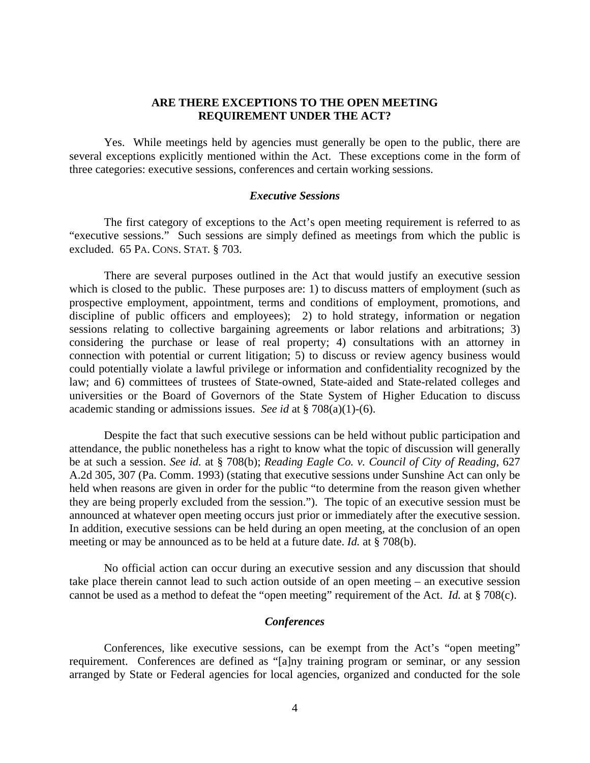# **ARE THERE EXCEPTIONS TO THE OPEN MEETING REQUIREMENT UNDER THE ACT?**

 Yes. While meetings held by agencies must generally be open to the public, there are several exceptions explicitly mentioned within the Act. These exceptions come in the form of three categories: executive sessions, conferences and certain working sessions.

### *Executive Sessions*

The first category of exceptions to the Act's open meeting requirement is referred to as "executive sessions." Such sessions are simply defined as meetings from which the public is excluded. 65 PA. CONS. STAT. § 703.

There are several purposes outlined in the Act that would justify an executive session which is closed to the public. These purposes are: 1) to discuss matters of employment (such as prospective employment, appointment, terms and conditions of employment, promotions, and discipline of public officers and employees); 2) to hold strategy, information or negation sessions relating to collective bargaining agreements or labor relations and arbitrations; 3) considering the purchase or lease of real property; 4) consultations with an attorney in connection with potential or current litigation; 5) to discuss or review agency business would could potentially violate a lawful privilege or information and confidentiality recognized by the law; and 6) committees of trustees of State-owned, State-aided and State-related colleges and universities or the Board of Governors of the State System of Higher Education to discuss academic standing or admissions issues. *See id* at § 708(a)(1)-(6).

 Despite the fact that such executive sessions can be held without public participation and attendance, the public nonetheless has a right to know what the topic of discussion will generally be at such a session. *See id.* at § 708(b); *Reading Eagle Co. v. Council of City of Reading*, 627 A.2d 305, 307 (Pa. Comm. 1993) (stating that executive sessions under Sunshine Act can only be held when reasons are given in order for the public "to determine from the reason given whether they are being properly excluded from the session."). The topic of an executive session must be announced at whatever open meeting occurs just prior or immediately after the executive session. In addition, executive sessions can be held during an open meeting, at the conclusion of an open meeting or may be announced as to be held at a future date. *Id.* at § 708(b).

 No official action can occur during an executive session and any discussion that should take place therein cannot lead to such action outside of an open meeting – an executive session cannot be used as a method to defeat the "open meeting" requirement of the Act. *Id.* at § 708(c).

# *Conferences*

 Conferences, like executive sessions, can be exempt from the Act's "open meeting" requirement. Conferences are defined as "[a]ny training program or seminar, or any session arranged by State or Federal agencies for local agencies, organized and conducted for the sole